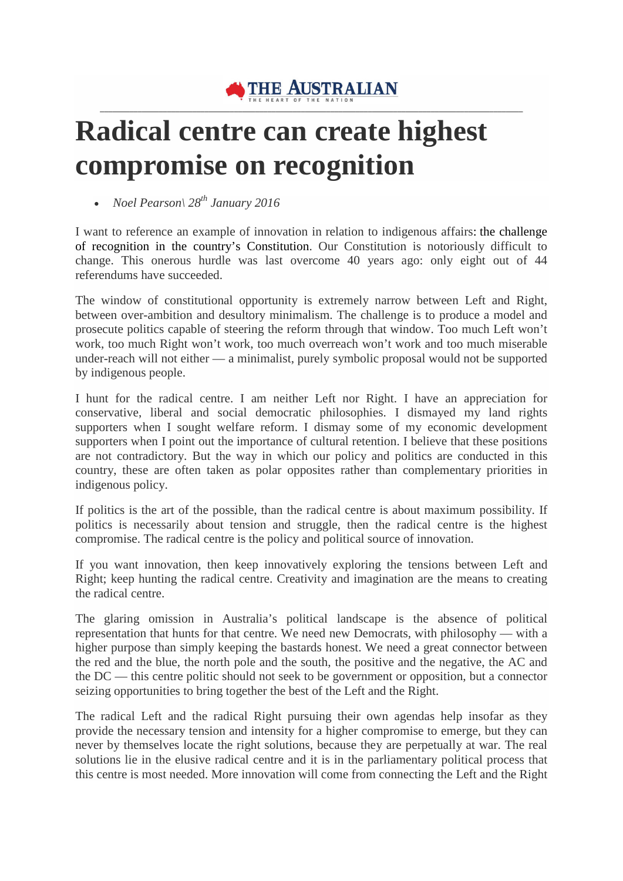

## **Radical centre can create highest compromise on recognition**

• *Noel Pearson\ 28th January 2016*

I want to reference an example of innovation in relation to indigenous affairs: the challenge of recognition in the country's Constitution. Our Constitution is notoriously difficult to change. This onerous hurdle was last overcome 40 years ago: only eight out of 44 referendums have succeeded.

The window of constitutional opportunity is extremely narrow between Left and Right, between over-ambition and desultory minimalism. The challenge is to produce a model and prosecute politics capable of steering the reform through that window. Too much Left won't work, too much Right won't work, too much overreach won't work and too much miserable under-reach will not either — a minimalist, purely symbolic proposal would not be supported by indigenous people.

I hunt for the radical centre. I am neither Left nor Right. I have an appreciation for conservative, liberal and social democratic philosophies. I dismayed my land rights supporters when I sought welfare reform. I dismay some of my economic development supporters when I point out the importance of cultural retention. I believe that these positions are not contradictory. But the way in which our policy and politics are conducted in this country, these are often taken as polar opposites rather than complementary priorities in indigenous policy.

If politics is the art of the possible, than the radical centre is about maximum possibility. If politics is necessarily about tension and struggle, then the radical centre is the highest compromise. The radical centre is the policy and political source of innovation.

If you want innovation, then keep innovatively exploring the tensions between Left and Right; keep hunting the radical centre. Creativity and imagination are the means to creating the radical centre.

The glaring omission in Australia's political landscape is the absence of political representation that hunts for that centre. We need new Democrats, with philosophy — with a higher purpose than simply keeping the bastards honest. We need a great connector between the red and the blue, the north pole and the south, the positive and the negative, the AC and the DC — this centre politic should not seek to be government or opposition, but a connector seizing opportunities to bring together the best of the Left and the Right.

The radical Left and the radical Right pursuing their own agendas help insofar as they provide the necessary tension and intensity for a higher compromise to emerge, but they can never by themselves locate the right solutions, because they are perpetually at war. The real solutions lie in the elusive radical centre and it is in the parliamentary political process that this centre is most needed. More innovation will come from connecting the Left and the Right